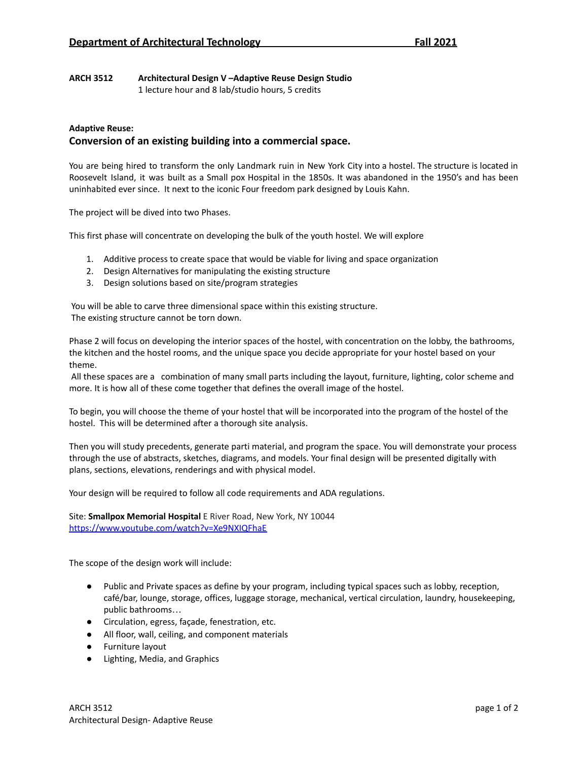# **ARCH 3512 Architectural Design V –Adaptive Reuse Design Studio**

1 lecture hour and 8 lab/studio hours, 5 credits

## **Adaptive Reuse: Conversion of an existing building into a commercial space.**

You are being hired to transform the only Landmark ruin in New York City into a hostel. The structure is located in Roosevelt Island, it was built as a Small pox Hospital in the 1850s. It was abandoned in the 1950's and has been uninhabited ever since. It next to the iconic Four freedom park designed by Louis Kahn.

The project will be dived into two Phases.

This first phase will concentrate on developing the bulk of the youth hostel. We will explore

- 1. Additive process to create space that would be viable for living and space organization
- 2. Design Alternatives for manipulating the existing structure
- 3. Design solutions based on site/program strategies

You will be able to carve three dimensional space within this existing structure. The existing structure cannot be torn down.

Phase 2 will focus on developing the interior spaces of the hostel, with concentration on the lobby, the bathrooms, the kitchen and the hostel rooms, and the unique space you decide appropriate for your hostel based on your theme.

All these spaces are a combination of many small parts including the layout, furniture, lighting, color scheme and more. It is how all of these come together that defines the overall image of the hostel.

To begin, you will choose the theme of your hostel that will be incorporated into the program of the hostel of the hostel. This will be determined after a thorough site analysis.

Then you will study precedents, generate parti material, and program the space. You will demonstrate your process through the use of abstracts, sketches, diagrams, and models. Your final design will be presented digitally with plans, sections, elevations, renderings and with physical model.

Your design will be required to follow all code requirements and ADA regulations.

Site: **Smallpox Memorial Hospital** E River Road, New York, NY 10044 <https://www.youtube.com/watch?v=Xe9NXIQFhaE>

The scope of the design work will include:

- Public and Private spaces as define by your program, including typical spaces such as lobby, reception, café/bar, lounge, storage, offices, luggage storage, mechanical, vertical circulation, laundry, housekeeping, public bathrooms…
- Circulation, egress, façade, fenestration, etc.
- All floor, wall, ceiling, and component materials
- Furniture layout
- Lighting, Media, and Graphics